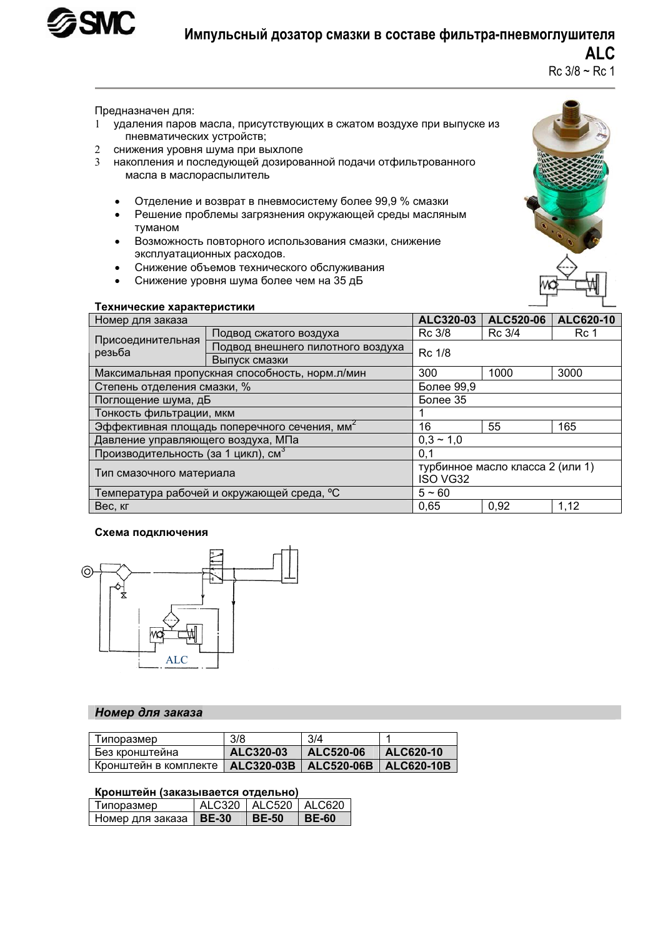

# Импульсный дозатор смазки в составе фильтра-пневмоглушителя **ALC**

 $Rc$  3/8 ~ Rc 1

Предназначен для:

- 1 удаления паров масла, присутствующих в сжатом воздухе при выпуске из пневматических устройств;
- 2 снижения уровня шума при выхлопе
- 3 накопления и последующей дозированной подачи отфильтрованного масла в маслораспылитель
	- Отделение и возврат в пневмосистему более 99,9 % смазки
	- Решение проблемы загрязнения окружающей среды масляным тvманом
	- Возможность повторного использования смазки, снижение эксплуатационных расходов.
	- Снижение объемов технического обслуживания
	- Снижение уровня шума более чем на 35 дБ



#### Технические характеристики

| Номер для заказа                                |                                                                         | ALC320-03                        | ALC520-06 | ALC620-10 |  |
|-------------------------------------------------|-------------------------------------------------------------------------|----------------------------------|-----------|-----------|--|
| Присоединительная<br>резьба                     | Подвод сжатого воздуха                                                  | Rc 3/8                           | Rc 3/4    | Rc 1      |  |
|                                                 | Подвод внешнего пилотного воздуха                                       | Rc 1/8                           |           |           |  |
|                                                 | Выпуск смазки                                                           |                                  |           |           |  |
|                                                 | Максимальная пропускная способность, норм. л/мин<br>300<br>1000<br>3000 |                                  |           |           |  |
| Степень отделения смазки, %                     |                                                                         | Более 99,9                       |           |           |  |
| Поглощение шума, дБ                             |                                                                         | Более 35                         |           |           |  |
| Тонкость фильтрации, мкм                        |                                                                         |                                  |           |           |  |
| Эффективная площадь поперечного сечения, мм-    |                                                                         | 16                               | 55        | 165       |  |
| Давление управляющего воздуха, МПа              |                                                                         | $0.3 \sim 1.0$                   |           |           |  |
| Производительность (за 1 цикл), см <sup>3</sup> |                                                                         | 0,1                              |           |           |  |
| Тип смазочного материала                        |                                                                         | турбинное масло класса 2 (или 1) |           |           |  |
|                                                 |                                                                         | <b>ISO VG32</b>                  |           |           |  |
| Температура рабочей и окружающей среда, °С      |                                                                         | $5 - 60$                         |           |           |  |
| 0.65<br>0,92<br>Вес, кг                         |                                                                         | 1,12                             |           |           |  |

#### Схема подключения



### **Номер для заказа**

| Типоразмер                                                   | 3/8       | 3/4       |             |
|--------------------------------------------------------------|-----------|-----------|-------------|
| Без кронштейна                                               | ALC320-03 | ALC520-06 | $ALC620-10$ |
| Кронштейн в комплекте   ALC320-03B   ALC520-06B   ALC620-10B |           |           |             |

#### Кронштейн (заказывается отдельно)

| Типоразмер                      | ALC320   ALC520   ALC620 |         |
|---------------------------------|--------------------------|---------|
| Номер для заказа   <b>BE-30</b> | $\overline{ }$ BE-50     | ∣ BE-60 |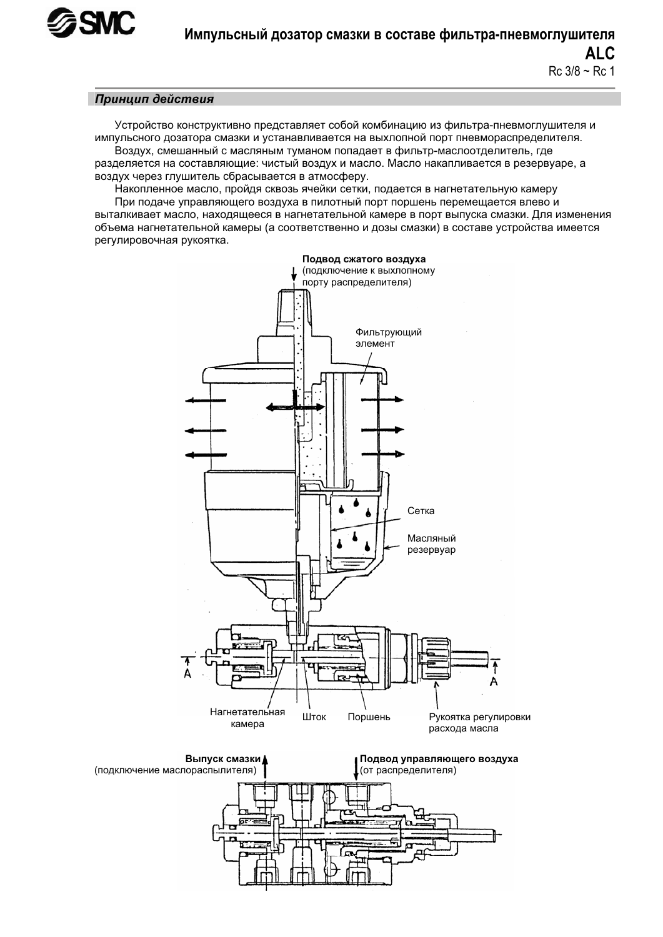

### Принцип действия

Устройство конструктивно представляет собой комбинацию из фильтра-пневмоглушителя и импульсного дозатора смазки и устанавливается на выхлопной порт пневмораспределителя. Воздух, смешанный с масляным туманом попадает в фильтр-маслоотделитель, где

разделяется на составляющие: чистый воздух и масло. Масло накапливается в резервуаре, а воздух через глушитель сбрасывается в атмосферу.

Накопленное масло, пройдя сквозь ячейки сетки, подается в нагнетательную камеру При подаче управляющего воздуха в пилотный порт поршень перемещается влево и выталкивает масло, находящееся в нагнетательной камере в порт выпуска смазки. Для изменения объема нагнетательной камеры (а соответственно и дозы смазки) в составе устройства имеется регулировочная рукоятка.